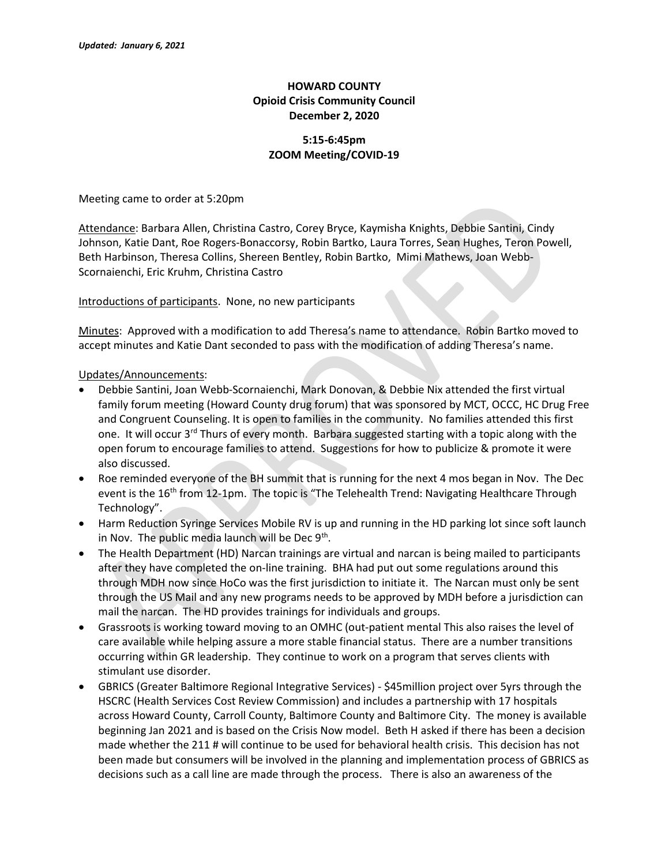# HOWARD COUNTY Opioid Crisis Community Council December 2, 2020

### 5:15-6:45pm ZOOM Meeting/COVID-19

Meeting came to order at 5:20pm

Attendance: Barbara Allen, Christina Castro, Corey Bryce, Kaymisha Knights, Debbie Santini, Cindy Johnson, Katie Dant, Roe Rogers-Bonaccorsy, Robin Bartko, Laura Torres, Sean Hughes, Teron Powell, Beth Harbinson, Theresa Collins, Shereen Bentley, Robin Bartko, Mimi Mathews, Joan Webb-Scornaienchi, Eric Kruhm, Christina Castro

Introductions of participants. None, no new participants

Minutes: Approved with a modification to add Theresa's name to attendance. Robin Bartko moved to accept minutes and Katie Dant seconded to pass with the modification of adding Theresa's name.

Updates/Announcements:

- Debbie Santini, Joan Webb-Scornaienchi, Mark Donovan, & Debbie Nix attended the first virtual family forum meeting (Howard County drug forum) that was sponsored by MCT, OCCC, HC Drug Free and Congruent Counseling. It is open to families in the community. No families attended this first one. It will occur 3<sup>rd</sup> Thurs of every month. Barbara suggested starting with a topic along with the open forum to encourage families to attend. Suggestions for how to publicize & promote it were also discussed.
- Roe reminded everyone of the BH summit that is running for the next 4 mos began in Nov. The Dec event is the  $16<sup>th</sup>$  from 12-1pm. The topic is "The Telehealth Trend: Navigating Healthcare Through Technology".
- Harm Reduction Syringe Services Mobile RV is up and running in the HD parking lot since soft launch in Nov. The public media launch will be Dec  $9<sup>th</sup>$ .
- The Health Department (HD) Narcan trainings are virtual and narcan is being mailed to participants after they have completed the on-line training. BHA had put out some regulations around this through MDH now since HoCo was the first jurisdiction to initiate it. The Narcan must only be sent through the US Mail and any new programs needs to be approved by MDH before a jurisdiction can mail the narcan. The HD provides trainings for individuals and groups.
- Grassroots is working toward moving to an OMHC (out-patient mental This also raises the level of care available while helping assure a more stable financial status. There are a number transitions occurring within GR leadership. They continue to work on a program that serves clients with stimulant use disorder.
- GBRICS (Greater Baltimore Regional Integrative Services) \$45million project over 5yrs through the HSCRC (Health Services Cost Review Commission) and includes a partnership with 17 hospitals across Howard County, Carroll County, Baltimore County and Baltimore City. The money is available beginning Jan 2021 and is based on the Crisis Now model. Beth H asked if there has been a decision made whether the 211 # will continue to be used for behavioral health crisis. This decision has not been made but consumers will be involved in the planning and implementation process of GBRICS as decisions such as a call line are made through the process. There is also an awareness of the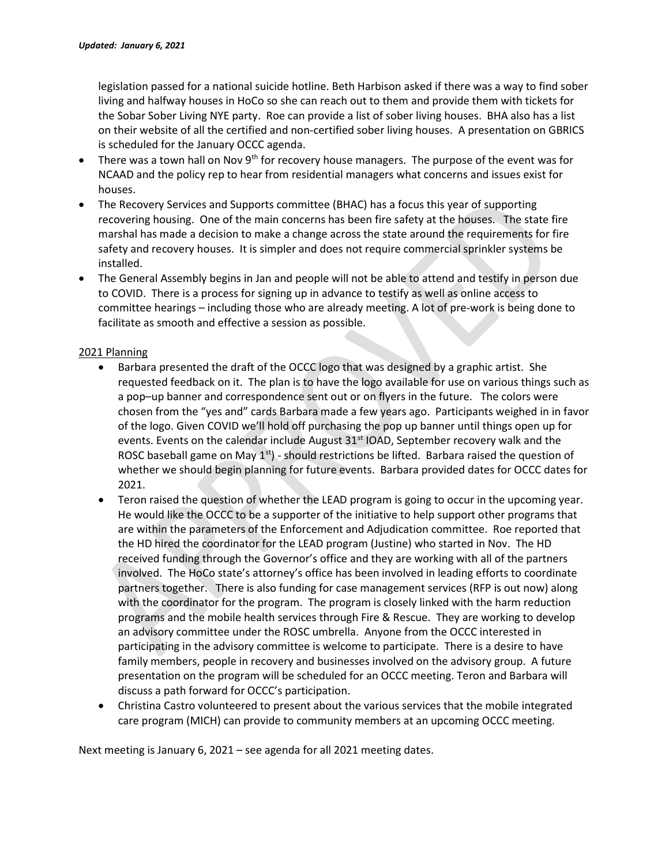legislation passed for a national suicide hotline. Beth Harbison asked if there was a way to find sober living and halfway houses in HoCo so she can reach out to them and provide them with tickets for the Sobar Sober Living NYE party. Roe can provide a list of sober living houses. BHA also has a list on their website of all the certified and non-certified sober living houses. A presentation on GBRICS is scheduled for the January OCCC agenda.

- There was a town hall on Nov  $9<sup>th</sup>$  for recovery house managers. The purpose of the event was for NCAAD and the policy rep to hear from residential managers what concerns and issues exist for houses.
- The Recovery Services and Supports committee (BHAC) has a focus this year of supporting recovering housing. One of the main concerns has been fire safety at the houses. The state fire marshal has made a decision to make a change across the state around the requirements for fire safety and recovery houses. It is simpler and does not require commercial sprinkler systems be installed.
- The General Assembly begins in Jan and people will not be able to attend and testify in person due to COVID. There is a process for signing up in advance to testify as well as online access to committee hearings – including those who are already meeting. A lot of pre-work is being done to facilitate as smooth and effective a session as possible.

## 2021 Planning

- Barbara presented the draft of the OCCC logo that was designed by a graphic artist. She requested feedback on it. The plan is to have the logo available for use on various things such as a pop–up banner and correspondence sent out or on flyers in the future. The colors were chosen from the "yes and" cards Barbara made a few years ago. Participants weighed in in favor of the logo. Given COVID we'll hold off purchasing the pop up banner until things open up for events. Events on the calendar include August 31<sup>st</sup> IOAD, September recovery walk and the ROSC baseball game on May  $1<sup>st</sup>$  - should restrictions be lifted. Barbara raised the question of whether we should begin planning for future events. Barbara provided dates for OCCC dates for 2021.
- Teron raised the question of whether the LEAD program is going to occur in the upcoming year. He would like the OCCC to be a supporter of the initiative to help support other programs that are within the parameters of the Enforcement and Adjudication committee. Roe reported that the HD hired the coordinator for the LEAD program (Justine) who started in Nov. The HD received funding through the Governor's office and they are working with all of the partners involved. The HoCo state's attorney's office has been involved in leading efforts to coordinate partners together. There is also funding for case management services (RFP is out now) along with the coordinator for the program. The program is closely linked with the harm reduction programs and the mobile health services through Fire & Rescue. They are working to develop an advisory committee under the ROSC umbrella. Anyone from the OCCC interested in participating in the advisory committee is welcome to participate. There is a desire to have family members, people in recovery and businesses involved on the advisory group. A future presentation on the program will be scheduled for an OCCC meeting. Teron and Barbara will discuss a path forward for OCCC's participation.
- Christina Castro volunteered to present about the various services that the mobile integrated care program (MICH) can provide to community members at an upcoming OCCC meeting.

Next meeting is January 6, 2021 – see agenda for all 2021 meeting dates.